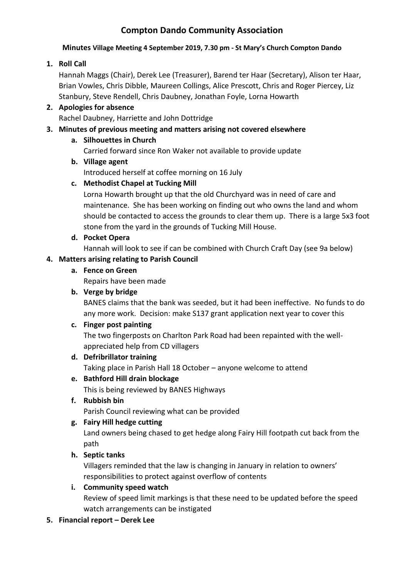# **Compton Dando Community Association**

#### **Minutes Village Meeting 4 September 2019, 7.30 pm - St Mary's Church Compton Dando**

# **1. Roll Call**

Hannah Maggs (Chair), Derek Lee (Treasurer), Barend ter Haar (Secretary), Alison ter Haar, Brian Vowles, Chris Dibble, Maureen Collings, Alice Prescott, Chris and Roger Piercey, Liz Stanbury, Steve Rendell, Chris Daubney, Jonathan Foyle, Lorna Howarth

# **2. Apologies for absence**

Rachel Daubney, Harriette and John Dottridge

# **3. Minutes of previous meeting and matters arising not covered elsewhere**

## **a. Silhouettes in Church**

Carried forward since Ron Waker not available to provide update

# **b. Village agent**

Introduced herself at coffee morning on 16 July

# **c. Methodist Chapel at Tucking Mill**

Lorna Howarth brought up that the old Churchyard was in need of care and maintenance. She has been working on finding out who owns the land and whom should be contacted to access the grounds to clear them up. There is a large 5x3 foot stone from the yard in the grounds of Tucking Mill House.

**d. Pocket Opera**

Hannah will look to see if can be combined with Church Craft Day (see 9a below)

# **4. Matters arising relating to Parish Council**

**a. Fence on Green**

Repairs have been made

# **b. Verge by bridge**

BANES claims that the bank was seeded, but it had been ineffective. No funds to do any more work. Decision: make S137 grant application next year to cover this

# **c. Finger post painting**

The two fingerposts on Charlton Park Road had been repainted with the wellappreciated help from CD villagers

#### **d. Defribrillator training**

Taking place in Parish Hall 18 October – anyone welcome to attend

# **e. Bathford Hill drain blockage**

This is being reviewed by BANES Highways

**f. Rubbish bin**

Parish Council reviewing what can be provided

# **g. Fairy Hill hedge cutting**

Land owners being chased to get hedge along Fairy Hill footpath cut back from the path

# **h. Septic tanks**

Villagers reminded that the law is changing in January in relation to owners' responsibilities to protect against overflow of contents

# **i. Community speed watch**

Review of speed limit markings is that these need to be updated before the speed watch arrangements can be instigated

# **5. Financial report – Derek Lee**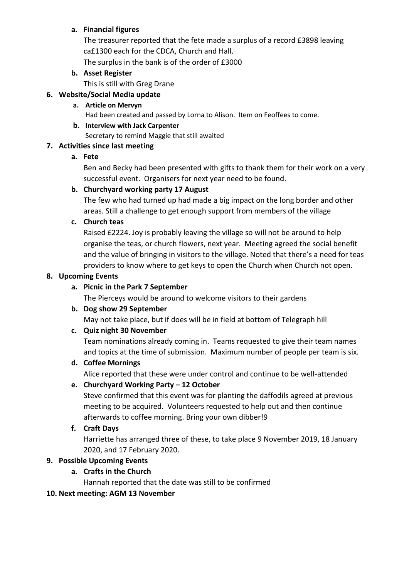### **a. Financial figures**

The treasurer reported that the fete made a surplus of a record £3898 leaving ca£1300 each for the CDCA, Church and Hall. The surplus in the bank is of the order of £3000

## **b. Asset Register**

This is still with Greg Drane

# **6. Website/Social Media update**

## **a. Article on Mervyn**

Had been created and passed by Lorna to Alison. Item on Feoffees to come.

#### **b. Interview with Jack Carpenter**

Secretary to remind Maggie that still awaited

# **7. Activities since last meeting**

## **a. Fete**

Ben and Becky had been presented with gifts to thank them for their work on a very successful event. Organisers for next year need to be found.

## **b. Churchyard working party 17 August**

The few who had turned up had made a big impact on the long border and other areas. Still a challenge to get enough support from members of the village

## **c. Church teas**

Raised £2224. Joy is probably leaving the village so will not be around to help organise the teas, or church flowers, next year. Meeting agreed the social benefit and the value of bringing in visitors to the village. Noted that there's a need for teas providers to know where to get keys to open the Church when Church not open.

#### **8. Upcoming Events**

## **a. Picnic in the Park 7 September**

The Pierceys would be around to welcome visitors to their gardens

#### **b. Dog show 29 September**

May not take place, but if does will be in field at bottom of Telegraph hill

# **c. Quiz night 30 November**

Team nominations already coming in. Teams requested to give their team names and topics at the time of submission. Maximum number of people per team is six.

# **d. Coffee Mornings**

Alice reported that these were under control and continue to be well-attended

# **e. Churchyard Working Party – 12 October**

Steve confirmed that this event was for planting the daffodils agreed at previous meeting to be acquired. Volunteers requested to help out and then continue afterwards to coffee morning. Bring your own dibber!9

#### **f. Craft Days**

Harriette has arranged three of these, to take place 9 November 2019, 18 January 2020, and 17 February 2020.

# **9. Possible Upcoming Events**

# **a. Crafts in the Church**

Hannah reported that the date was still to be confirmed

#### **10. Next meeting: AGM 13 November**